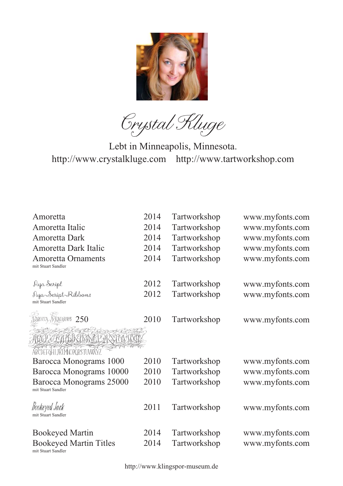

Crystal Kluge

Lebt in Minneapolis, Minnesota. http://www.crystalkluge.com http://www.tartworkshop.com

| Amoretta                      | 2014 | Tartworkshop | www.myfonts.com |
|-------------------------------|------|--------------|-----------------|
|                               |      |              |                 |
| Amoretta Italic               | 2014 | Tartworkshop | www.myfonts.com |
| <b>Amoretta Dark</b>          | 2014 | Tartworkshop | www.myfonts.com |
| Amoretta Dark Italic          | 2014 | Tartworkshop | www.myfonts.com |
| <b>Amoretta Ornaments</b>     | 2014 | Tartworkshop | www.myfonts.com |
| mit Stuart Sandler            |      |              |                 |
| Aya Seript                    | 2012 | Tartworkshop | www.myfonts.com |
| AyanScript Ribbons            | 2012 |              |                 |
| mit Stuart Sandler            |      | Tartworkshop | www.myfonts.com |
|                               |      |              |                 |
| XCA , MONOGRAMS $~250$        | 2010 | Tartworkshop | www.myfonts.com |
| LAGGA KENYA CENTRA            |      |              |                 |
| ABCDEFGHI JKIMOPORSTUWXYZ     |      |              |                 |
| Barocca Monograms 1000        | 2010 | Tartworkshop | www.myfonts.com |
| Barocca Monograms 10000       | 2010 | Tartworkshop | www.myfonts.com |
| Barocca Monograms 25000       | 2010 | Tartworkshop | www.myfonts.com |
| mit Stuart Sandler            |      |              |                 |
| Bookeyed Jack                 | 2011 | Tartworkshop | www.myfonts.com |
| mit Stuart Sandler            |      |              |                 |
| <b>Bookeyed Martin</b>        | 2014 | Tartworkshop | www.myfonts.com |
| <b>Bookeyed Martin Titles</b> | 2014 | Tartworkshop | www.myfonts.com |
| mit Stuart Sandler            |      |              |                 |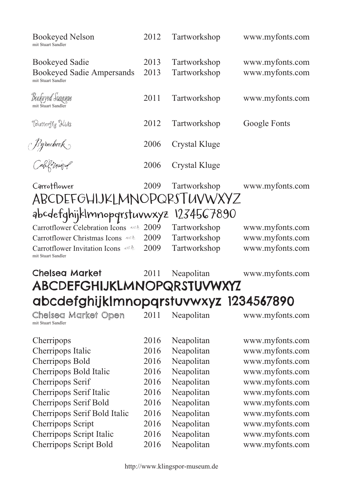| <b>Bookeyed Nelson</b><br>mit Stuart Sandler                                    | 2012         | Tartworkshop                 | www.myfonts.com                    |
|---------------------------------------------------------------------------------|--------------|------------------------------|------------------------------------|
| <b>Bookeyed Sadie</b><br><b>Bookeyed Sadie Ampersands</b><br>mit Stuart Sandler | 2013<br>2013 | Tartworkshop<br>Tartworkshop | www.myfonts.com<br>www.myfonts.com |
| <b>Bookeyed Suzanne</b><br>mit Stuart Sandler                                   | 2011         | Tartworkshop                 | www.myfonts.com                    |
| Butterfly Kids                                                                  | 2012         | Tartworkshop                 | Google Fonts                       |
|                                                                                 | 2006         | Crystal Kluge                |                                    |
| Byrnebook<br>Cahfomar <i>d</i>                                                  | 2006         | Crystal Kluge                |                                    |
| Carrotflower<br>ABCDEFGHIJKLMNOPQRSTUVWXYZ                                      | 2009         | Tartworkshop                 | www.myfonts.com                    |
|                                                                                 |              |                              |                                    |
| abcdefghijklmnopqrstuvwxyz 1234567890                                           |              |                              |                                    |
| Carrotflower Celebration Icons                                                  | 2009         | Tartworkshop                 | www.myfonts.com                    |
| Carrotflower Christmas Icons                                                    | 2009         | Tartworkshop                 | www.myfonts.com                    |
| Carrotflower Invitation Icons<br>mit Stuart Sandler                             | 2009         | Tartworkshop                 | www.myfonts.com                    |
| <b>Chelsea Market</b>                                                           | 2011         | Neapolitan                   | www.myfonts.com                    |
| <b>ABCDEFGHIJKLMNOPQRSTUVWXYZ</b>                                               |              |                              |                                    |
| abcdefghijkImnopqrstuvwxyz 1234567890                                           |              |                              |                                    |
| Chelsea Market Open<br>mit Stuart Sandler                                       | 2011         | Neapolitan                   | www.myfonts.com                    |
| Cherripops                                                                      | 2016         | Neapolitan                   | www.myfonts.com                    |
| Cherripops Italic                                                               | 2016         | Neapolitan                   | www.myfonts.com                    |
| Cherripops Bold                                                                 | 2016         | Neapolitan                   | www.myfonts.com                    |
| Cherripops Bold Italic                                                          | 2016         | Neapolitan                   | www.myfonts.com                    |
| Cherripops Serif                                                                | 2016         | Neapolitan                   | www.myfonts.com                    |
| Cherripops Serif Italic                                                         | 2016         | Neapolitan                   | www.myfonts.com                    |
| Cherripops Serif Bold                                                           | 2016         | Neapolitan                   | www.myfonts.com                    |
| Cherripops Serif Bold Italic                                                    | 2016         | Neapolitan                   | www.myfonts.com                    |
| Cherripops Script                                                               | 2016         | Neapolitan                   | www.myfonts.com                    |
| Cherripops Script Italic                                                        | 2016         | Neapolitan                   | www.myfonts.com                    |
| <b>Cherripops Script Bold</b>                                                   | 2016         | Neapolitan                   | www.myfonts.com                    |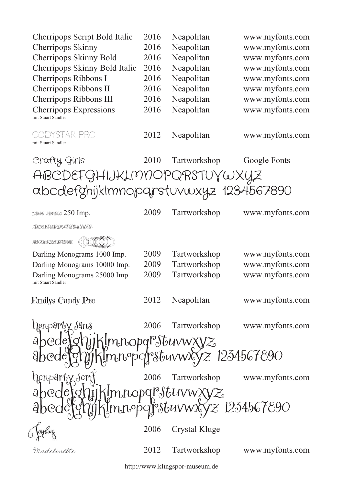| Cherripops Script Bold Italic                                     | 2016 | Neapolitan    | www.myfonts.com |  |  |  |
|-------------------------------------------------------------------|------|---------------|-----------------|--|--|--|
| <b>Cherripops Skinny</b>                                          | 2016 | Neapolitan    | www.myfonts.com |  |  |  |
| Cherripops Skinny Bold                                            | 2016 | Neapolitan    | www.myfonts.com |  |  |  |
| Cherripops Skinny Bold Italic                                     | 2016 | Neapolitan    | www.myfonts.com |  |  |  |
| Cherripops Ribbons I                                              | 2016 | Neapolitan    | www.myfonts.com |  |  |  |
| Cherripops Ribbons II                                             | 2016 | Neapolitan    | www.myfonts.com |  |  |  |
| Cherripops Ribbons III                                            | 2016 | Neapolitan    | www.myfonts.com |  |  |  |
| <b>Cherripops Expressions</b><br>mit Stuart Sandler               | 2016 | Neapolitan    | www.myfonts.com |  |  |  |
| CODYSTAR PRO<br>mit Stuart Sandler                                | 2012 | Neapolitan    | www.myfonts.com |  |  |  |
| Crafty, Girls                                                     | 2010 | Tartworkshop  | Google Fonts    |  |  |  |
| ABCDEFGHIJKLMNOPQRSTUYWXYZ                                        |      |               |                 |  |  |  |
| abcdefghijkImnoparstuvwxyz 1234567890                             |      |               |                 |  |  |  |
|                                                                   |      |               |                 |  |  |  |
| DRUM NEVERUS 250 Imp.                                             | 2009 | Tartworkshop  | www.myfonts.com |  |  |  |
| AKTETHAIKHANGPORTUMVYE:                                           |      |               |                 |  |  |  |
| <b>RECEMBENCERSTANNIE</b>                                         |      |               |                 |  |  |  |
| Darling Monograms 1000 Imp.                                       | 2009 | Tartworkshop  | www.myfonts.com |  |  |  |
| Darling Monograms 10000 Imp.                                      | 2009 | Tartworkshop  | www.myfonts.com |  |  |  |
| Darling Monograms 25000 Imp.<br>mit Stuart Sandler                | 2009 | Tartworkshop  | www.myfonts.com |  |  |  |
| Emilys Candy Pro                                                  | 2012 | Neapolitan    | www.myfonts.com |  |  |  |
| henparty sans                                                     | 2006 | Tartworkshop  | www.myfonts.com |  |  |  |
|                                                                   |      |               |                 |  |  |  |
| oedefohijkImnopqrstuvwxyz<br>oedefohijkImnopqrstuvwxyz 1234567890 |      |               |                 |  |  |  |
| henparty seri                                                     |      | Tartworkshop  | www.myfonts.com |  |  |  |
| ]jjk[mnopqr\$tuvwxyz<br> jjk[mnopqr\$tuvwxyz 1234567890           |      |               |                 |  |  |  |
|                                                                   | 2006 | Crystal Kluge |                 |  |  |  |
| Madelinette                                                       | 2012 | Tartworkshop  | www.myfonts.com |  |  |  |

http://www.klingspor-museum.de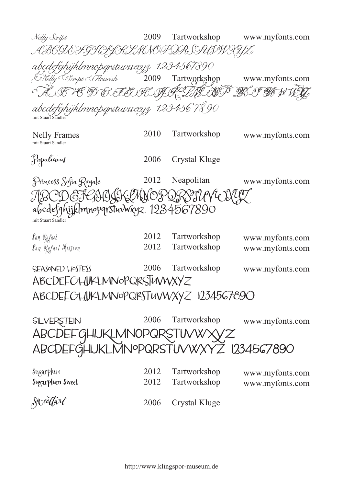Nelly Script 2009 Tartworkshop www.myfonts.com ABCDEFGHIJKLMNOPQRSTUVWXYZ abcdefghijklmnopqrstuvwxyz 1234567890 Tartworkshop 2009 Nelly Script Flourish www.myfonts.com ABCDEFGHIJKLMNOPQRSTUVWXYZ abcdefghijklmnopqrstuvwxyz 1234567890 mit Stuart Sandle Nelly Frames 2010 Tartworkshop www.myfonts.com mit Stuart Sandler Popalicious 2006 Crystal Kluge Princess Sofia Royale 2012 Neapolitan www.myfonts.com IK LIMNOPQRSTUVU abcdefghijklmnopqrstuvwxyz 1234567890 mit Stuart Sandler San Rafael 2012 Tartworkshop www.myfonts.com San Rafael Mission 2012 Tartworkshop www.myfonts.com SEASONED HOSTESS 2006 Tartworkshop www.myfonts.com ABCDEFGHIJKLMNOPQRSTUVWXYZ abcdefghijklmnopqrstuvwxyz 1234567890 2006 Tartworkshop **SILVERSTEIN** www.myfonts.com ABCDEFGHIJKLMNOPQRSTUVWX ABCDEFGHIJKLMNOPQRSTUVWXYZ 1234567890 Sugarplum 2012 Tartworkshop www.myfonts.com Sugarplum Sweet 2012 Tartworkshop www.myfonts.com Sweetfart 2006 Crystal Kluge